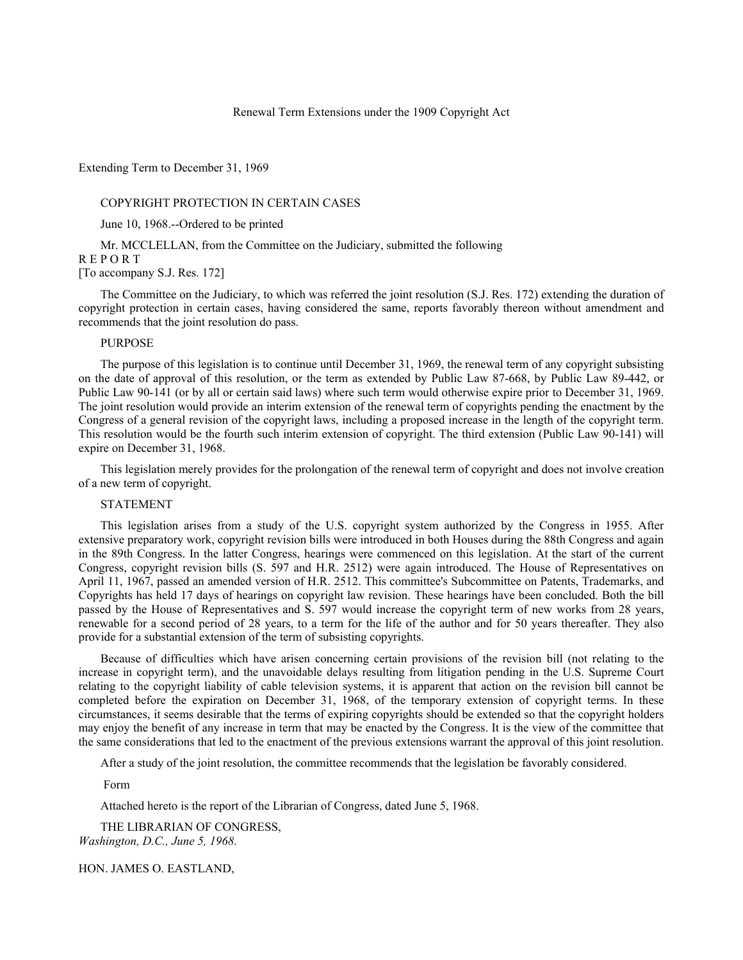#### Renewal Term Extensions under the 1909 Copyright Act

Extending Term to December 31, 1969

### COPYRIGHT PROTECTION IN CERTAIN CASES

June 10, 1968.--Ordered to be printed

Mr. MCCLELLAN, from the Committee on the Judiciary, submitted the following R E P O R T

[To accompany S.J. Res. 172]

The Committee on the Judiciary, to which was referred the joint resolution (S.J. Res. 172) extending the duration of copyright protection in certain cases, having considered the same, reports favorably thereon without amendment and recommends that the joint resolution do pass.

## **PURPOSE**

The purpose of this legislation is to continue until December 31, 1969, the renewal term of any copyright subsisting on the date of approval of this resolution, or the term as extended by Public Law 87-668, by Public Law 89-442, or Public Law 90-141 (or by all or certain said laws) where such term would otherwise expire prior to December 31, 1969. The joint resolution would provide an interim extension of the renewal term of copyrights pending the enactment by the Congress of a general revision of the copyright laws, including a proposed increase in the length of the copyright term. This resolution would be the fourth such interim extension of copyright. The third extension (Public Law 90-141) will expire on December 31, 1968.

This legislation merely provides for the prolongation of the renewal term of copyright and does not involve creation of a new term of copyright.

# STATEMENT

This legislation arises from a study of the U.S. copyright system authorized by the Congress in 1955. After extensive preparatory work, copyright revision bills were introduced in both Houses during the 88th Congress and again in the 89th Congress. In the latter Congress, hearings were commenced on this legislation. At the start of the current Congress, copyright revision bills (S. 597 and H.R. 2512) were again introduced. The House of Representatives on April 11, 1967, passed an amended version of H.R. 2512. This committee's Subcommittee on Patents, Trademarks, and Copyrights has held 17 days of hearings on copyright law revision. These hearings have been concluded. Both the bill passed by the House of Representatives and S. 597 would increase the copyright term of new works from 28 years, renewable for a second period of 28 years, to a term for the life of the author and for 50 years thereafter. They also provide for a substantial extension of the term of subsisting copyrights.

Because of difficulties which have arisen concerning certain provisions of the revision bill (not relating to the increase in copyright term), and the unavoidable delays resulting from litigation pending in the U.S. Supreme Court relating to the copyright liability of cable television systems, it is apparent that action on the revision bill cannot be completed before the expiration on December 31, 1968, of the temporary extension of copyright terms. In these circumstances, it seems desirable that the terms of expiring copyrights should be extended so that the copyright holders may enjoy the benefit of any increase in term that may be enacted by the Congress. It is the view of the committee that the same considerations that led to the enactment of the previous extensions warrant the approval of this joint resolution.

After a study of the joint resolution, the committee recommends that the legislation be favorably considered.

Form

Attached hereto is the report of the Librarian of Congress, dated June 5, 1968.

THE LIBRARIAN OF CONGRESS, *Washington, D.C., June 5, 1968*.

HON. JAMES O. EASTLAND,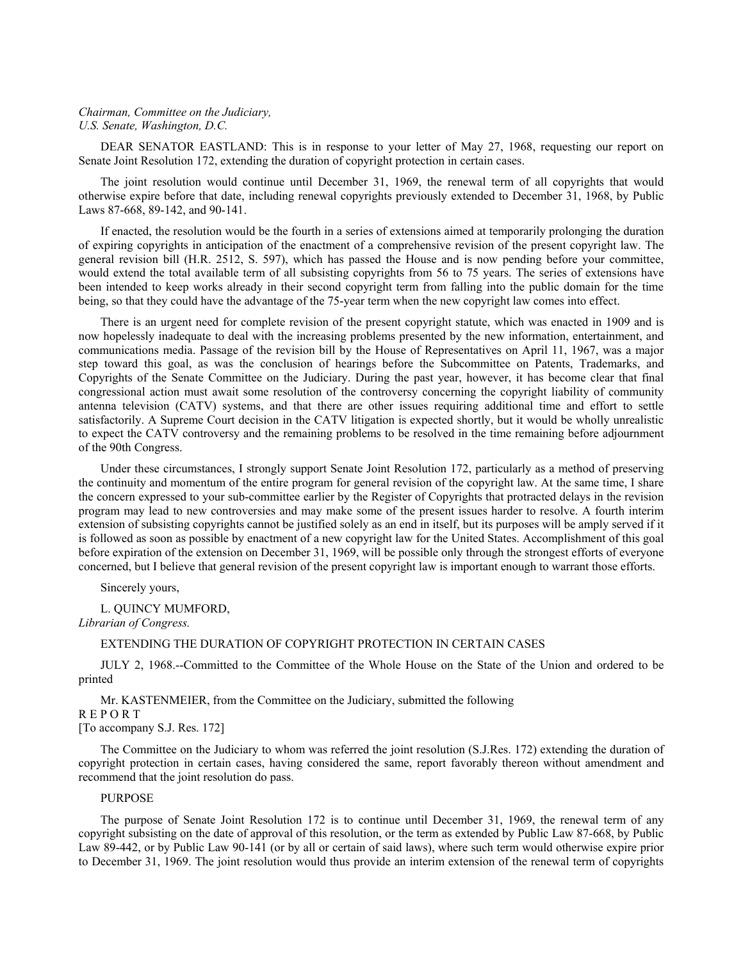## *Chairman, Committee on the Judiciary, U.S. Senate, Washington, D.C.*

DEAR SENATOR EASTLAND: This is in response to your letter of May 27, 1968, requesting our report on Senate Joint Resolution 172, extending the duration of copyright protection in certain cases.

The joint resolution would continue until December 31, 1969, the renewal term of all copyrights that would otherwise expire before that date, including renewal copyrights previously extended to December 31, 1968, by Public Laws 87-668, 89-142, and 90-141.

If enacted, the resolution would be the fourth in a series of extensions aimed at temporarily prolonging the duration of expiring copyrights in anticipation of the enactment of a comprehensive revision of the present copyright law. The general revision bill (H.R. 2512, S. 597), which has passed the House and is now pending before your committee, would extend the total available term of all subsisting copyrights from 56 to 75 years. The series of extensions have been intended to keep works already in their second copyright term from falling into the public domain for the time being, so that they could have the advantage of the 75-year term when the new copyright law comes into effect.

There is an urgent need for complete revision of the present copyright statute, which was enacted in 1909 and is now hopelessly inadequate to deal with the increasing problems presented by the new information, entertainment, and communications media. Passage of the revision bill by the House of Representatives on April 11, 1967, was a major step toward this goal, as was the conclusion of hearings before the Subcommittee on Patents, Trademarks, and Copyrights of the Senate Committee on the Judiciary. During the past year, however, it has become clear that final congressional action must await some resolution of the controversy concerning the copyright liability of community antenna television (CATV) systems, and that there are other issues requiring additional time and effort to settle satisfactorily. A Supreme Court decision in the CATV litigation is expected shortly, but it would be wholly unrealistic to expect the CATV controversy and the remaining problems to be resolved in the time remaining before adjournment of the 90th Congress.

Under these circumstances, I strongly support Senate Joint Resolution 172, particularly as a method of preserving the continuity and momentum of the entire program for general revision of the copyright law. At the same time, I share the concern expressed to your sub-committee earlier by the Register of Copyrights that protracted delays in the revision program may lead to new controversies and may make some of the present issues harder to resolve. A fourth interim extension of subsisting copyrights cannot be justified solely as an end in itself, but its purposes will be amply served if it is followed as soon as possible by enactment of a new copyright law for the United States. Accomplishment of this goal before expiration of the extension on December 31, 1969, will be possible only through the strongest efforts of everyone concerned, but I believe that general revision of the present copyright law is important enough to warrant those efforts.

Sincerely yours,

L. QUINCY MUMFORD, *Librarian of Congress.*

EXTENDING THE DURATION OF COPYRIGHT PROTECTION IN CERTAIN CASES

JULY 2, 1968.--Committed to the Committee of the Whole House on the State of the Union and ordered to be printed

Mr. KASTENMEIER, from the Committee on the Judiciary, submitted the following R E P O R T [To accompany S.J. Res. 172]

The Committee on the Judiciary to whom was referred the joint resolution (S.J.Res. 172) extending the duration of copyright protection in certain cases, having considered the same, report favorably thereon without amendment and recommend that the joint resolution do pass.

### PURPOSE

The purpose of Senate Joint Resolution 172 is to continue until December 31, 1969, the renewal term of any copyright subsisting on the date of approval of this resolution, or the term as extended by Public Law 87-668, by Public Law 89-442, or by Public Law 90-141 (or by all or certain of said laws), where such term would otherwise expire prior to December 31, 1969. The joint resolution would thus provide an interim extension of the renewal term of copyrights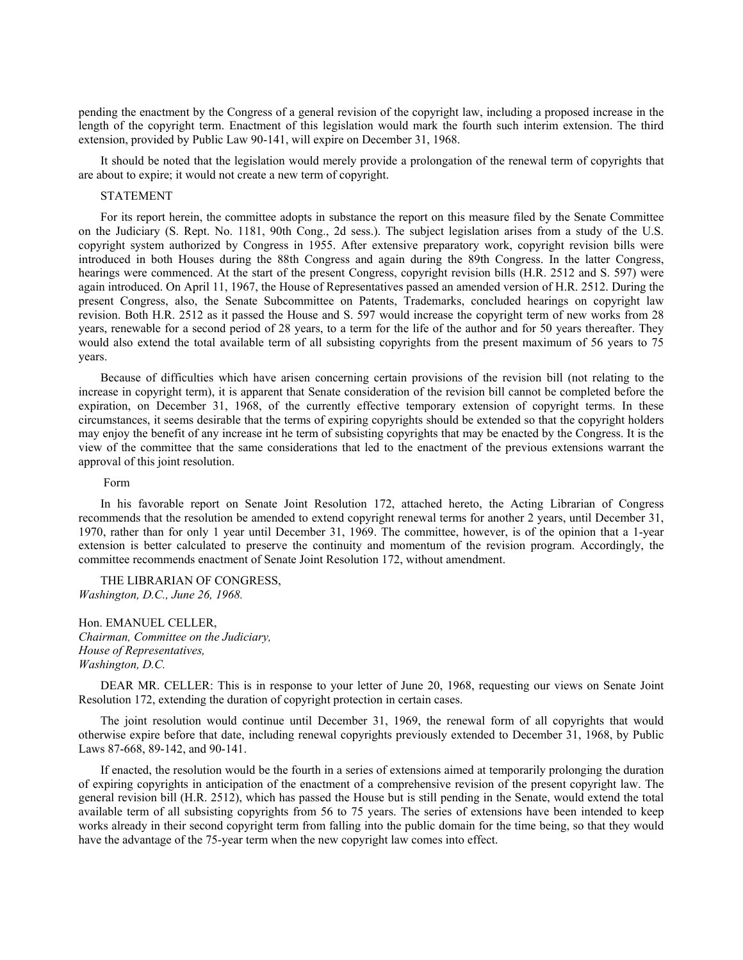pending the enactment by the Congress of a general revision of the copyright law, including a proposed increase in the length of the copyright term. Enactment of this legislation would mark the fourth such interim extension. The third extension, provided by Public Law 90-141, will expire on December 31, 1968.

It should be noted that the legislation would merely provide a prolongation of the renewal term of copyrights that are about to expire; it would not create a new term of copyright.

#### STATEMENT

For its report herein, the committee adopts in substance the report on this measure filed by the Senate Committee on the Judiciary (S. Rept. No. 1181, 90th Cong., 2d sess.). The subject legislation arises from a study of the U.S. copyright system authorized by Congress in 1955. After extensive preparatory work, copyright revision bills were introduced in both Houses during the 88th Congress and again during the 89th Congress. In the latter Congress, hearings were commenced. At the start of the present Congress, copyright revision bills (H.R. 2512 and S. 597) were again introduced. On April 11, 1967, the House of Representatives passed an amended version of H.R. 2512. During the present Congress, also, the Senate Subcommittee on Patents, Trademarks, concluded hearings on copyright law revision. Both H.R. 2512 as it passed the House and S. 597 would increase the copyright term of new works from 28 years, renewable for a second period of 28 years, to a term for the life of the author and for 50 years thereafter. They would also extend the total available term of all subsisting copyrights from the present maximum of 56 years to 75 years.

Because of difficulties which have arisen concerning certain provisions of the revision bill (not relating to the increase in copyright term), it is apparent that Senate consideration of the revision bill cannot be completed before the expiration, on December 31, 1968, of the currently effective temporary extension of copyright terms. In these circumstances, it seems desirable that the terms of expiring copyrights should be extended so that the copyright holders may enjoy the benefit of any increase int he term of subsisting copyrights that may be enacted by the Congress. It is the view of the committee that the same considerations that led to the enactment of the previous extensions warrant the approval of this joint resolution.

Form

In his favorable report on Senate Joint Resolution 172, attached hereto, the Acting Librarian of Congress recommends that the resolution be amended to extend copyright renewal terms for another 2 years, until December 31, 1970, rather than for only 1 year until December 31, 1969. The committee, however, is of the opinion that a 1-year extension is better calculated to preserve the continuity and momentum of the revision program. Accordingly, the committee recommends enactment of Senate Joint Resolution 172, without amendment.

THE LIBRARIAN OF CONGRESS, *Washington, D.C., June 26, 1968.*

Hon. EMANUEL CELLER, *Chairman, Committee on the Judiciary, House of Representatives, Washington, D.C.*

DEAR MR. CELLER: This is in response to your letter of June 20, 1968, requesting our views on Senate Joint Resolution 172, extending the duration of copyright protection in certain cases.

The joint resolution would continue until December 31, 1969, the renewal form of all copyrights that would otherwise expire before that date, including renewal copyrights previously extended to December 31, 1968, by Public Laws 87-668, 89-142, and 90-141.

If enacted, the resolution would be the fourth in a series of extensions aimed at temporarily prolonging the duration of expiring copyrights in anticipation of the enactment of a comprehensive revision of the present copyright law. The general revision bill (H.R. 2512), which has passed the House but is still pending in the Senate, would extend the total available term of all subsisting copyrights from 56 to 75 years. The series of extensions have been intended to keep works already in their second copyright term from falling into the public domain for the time being, so that they would have the advantage of the 75-year term when the new copyright law comes into effect.